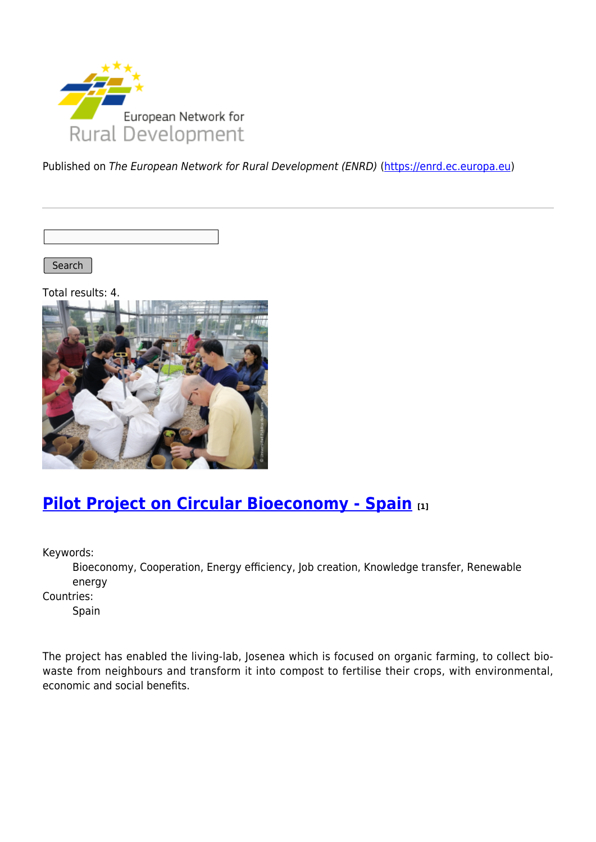

Published on The European Network for Rural Development (ENRD) [\(https://enrd.ec.europa.eu](https://enrd.ec.europa.eu))

Search

Total results: 4.



### **[Pilot Project on Circular Bioeconomy - Spain](https://enrd.ec.europa.eu/projects-practice/re-thinking-management-organic-waste_en) [1]**

Keywords:

Bioeconomy, Cooperation, Energy efficiency, Job creation, Knowledge transfer, Renewable energy

Countries:

Spain

The project has enabled the living-lab, Josenea which is focused on organic farming, to collect biowaste from neighbours and transform it into compost to fertilise their crops, with environmental, economic and social benefits.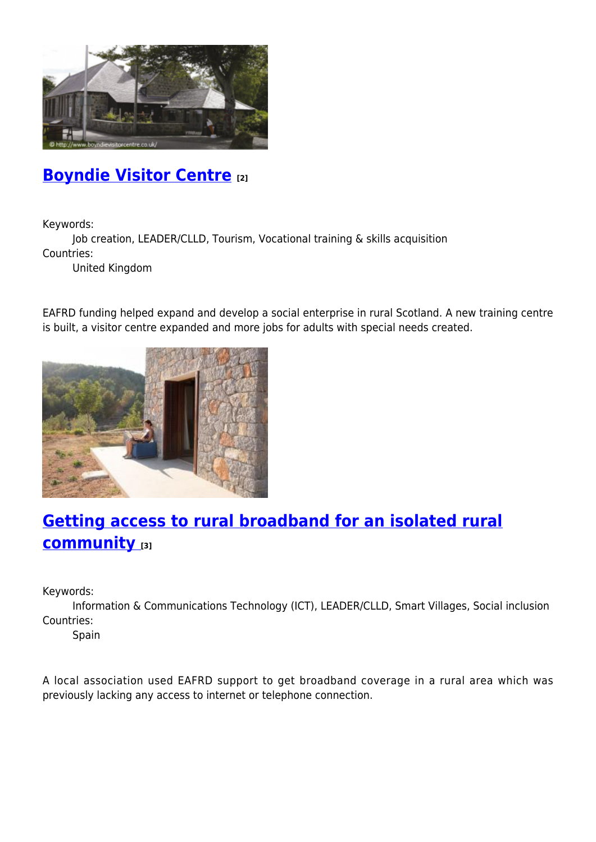

## **[Boyndie Visitor Centre](https://enrd.ec.europa.eu/projects-practice/boyndie-visitor-centre_en) [2]**

Keywords:

Job creation, LEADER/CLLD, Tourism, Vocational training & skills acquisition Countries:

United Kingdom

EAFRD funding helped expand and develop a social enterprise in rural Scotland. A new training centre is built, a visitor centre expanded and more jobs for adults with special needs created.



# **[Getting access to rural broadband for an isolated rural](https://enrd.ec.europa.eu/projects-practice/getting-access-rural-broadband-isolated-rural-community_en) [community](https://enrd.ec.europa.eu/projects-practice/getting-access-rural-broadband-isolated-rural-community_en) [3]**

Keywords:

Information & Communications Technology (ICT), LEADER/CLLD, Smart Villages, Social inclusion Countries:

Spain

A local association used EAFRD support to get broadband coverage in a rural area which was previously lacking any access to internet or telephone connection.